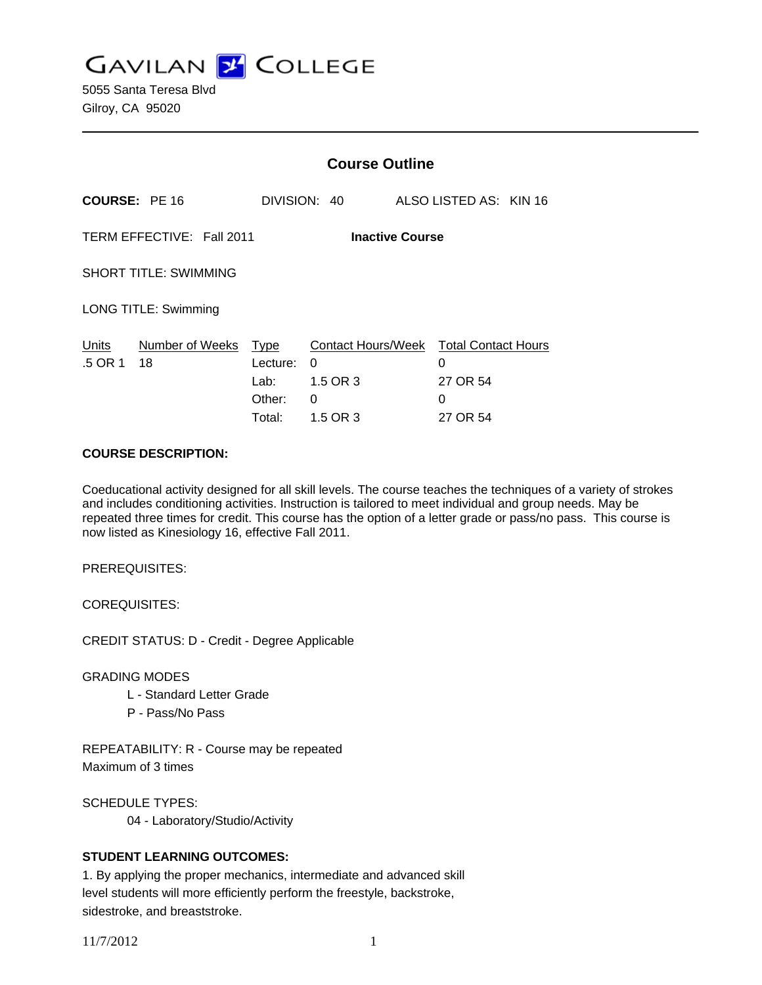**GAVILAN J COLLEGE** 

5055 Santa Teresa Blvd Gilroy, CA 95020

|                                                     |                       | <b>Course Outline</b>                               |                                                             |                        |                      |                            |
|-----------------------------------------------------|-----------------------|-----------------------------------------------------|-------------------------------------------------------------|------------------------|----------------------|----------------------------|
| <b>COURSE: PE 16</b>                                |                       |                                                     | DIVISION: 40                                                | ALSO LISTED AS: KIN 16 |                      |                            |
| TERM EFFECTIVE: Fall 2011<br><b>Inactive Course</b> |                       |                                                     |                                                             |                        |                      |                            |
| <b>SHORT TITLE: SWIMMING</b>                        |                       |                                                     |                                                             |                        |                      |                            |
| <b>LONG TITLE: Swimming</b>                         |                       |                                                     |                                                             |                        |                      |                            |
| Units<br>.5 OR 1                                    | Number of Weeks<br>18 | <b>Type</b><br>Lecture:<br>Lab:<br>Other:<br>Total: | <b>Contact Hours/Week</b><br>0<br>1.5 OR 3<br>0<br>1.5 OR 3 | 0<br>0                 | 27 OR 54<br>27 OR 54 | <b>Total Contact Hours</b> |

#### **COURSE DESCRIPTION:**

Coeducational activity designed for all skill levels. The course teaches the techniques of a variety of strokes and includes conditioning activities. Instruction is tailored to meet individual and group needs. May be repeated three times for credit. This course has the option of a letter grade or pass/no pass. This course is now listed as Kinesiology 16, effective Fall 2011.

PREREQUISITES:

COREQUISITES:

CREDIT STATUS: D - Credit - Degree Applicable

GRADING MODES

- L Standard Letter Grade
- P Pass/No Pass

REPEATABILITY: R - Course may be repeated Maximum of 3 times

SCHEDULE TYPES: 04 - Laboratory/Studio/Activity

#### **STUDENT LEARNING OUTCOMES:**

1. By applying the proper mechanics, intermediate and advanced skill level students will more efficiently perform the freestyle, backstroke, sidestroke, and breaststroke.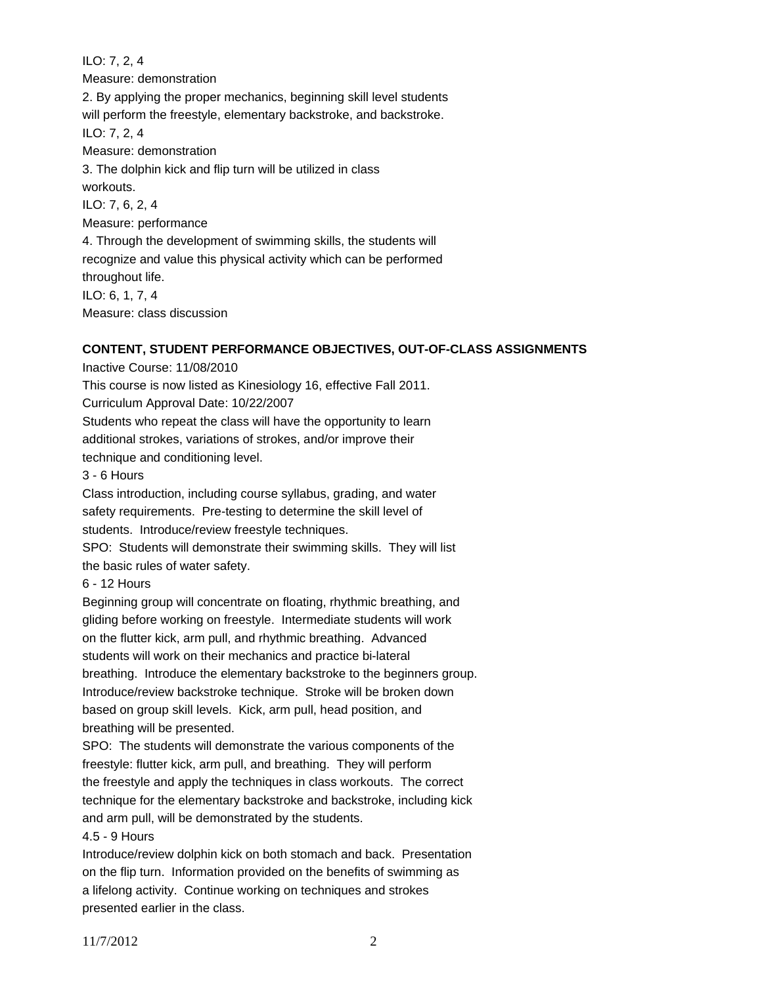ILO: 7, 2, 4 Measure: demonstration 2. By applying the proper mechanics, beginning skill level students will perform the freestyle, elementary backstroke, and backstroke. ILO: 7, 2, 4 Measure: demonstration 3. The dolphin kick and flip turn will be utilized in class workouts. ILO: 7, 6, 2, 4 Measure: performance 4. Through the development of swimming skills, the students will recognize and value this physical activity which can be performed throughout life. ILO: 6, 1, 7, 4 Measure: class discussion

#### **CONTENT, STUDENT PERFORMANCE OBJECTIVES, OUT-OF-CLASS ASSIGNMENTS**

Inactive Course: 11/08/2010

This course is now listed as Kinesiology 16, effective Fall 2011.

Curriculum Approval Date: 10/22/2007

Students who repeat the class will have the opportunity to learn additional strokes, variations of strokes, and/or improve their

technique and conditioning level.

3 - 6 Hours

Class introduction, including course syllabus, grading, and water safety requirements. Pre-testing to determine the skill level of students. Introduce/review freestyle techniques. SPO: Students will demonstrate their swimming skills. They will list the basic rules of water safety.

6 - 12 Hours

Beginning group will concentrate on floating, rhythmic breathing, and gliding before working on freestyle. Intermediate students will work on the flutter kick, arm pull, and rhythmic breathing. Advanced students will work on their mechanics and practice bi-lateral breathing. Introduce the elementary backstroke to the beginners group. Introduce/review backstroke technique. Stroke will be broken down based on group skill levels. Kick, arm pull, head position, and breathing will be presented.

SPO: The students will demonstrate the various components of the freestyle: flutter kick, arm pull, and breathing. They will perform the freestyle and apply the techniques in class workouts. The correct technique for the elementary backstroke and backstroke, including kick and arm pull, will be demonstrated by the students.

#### 4.5 - 9 Hours

Introduce/review dolphin kick on both stomach and back. Presentation on the flip turn. Information provided on the benefits of swimming as a lifelong activity. Continue working on techniques and strokes presented earlier in the class.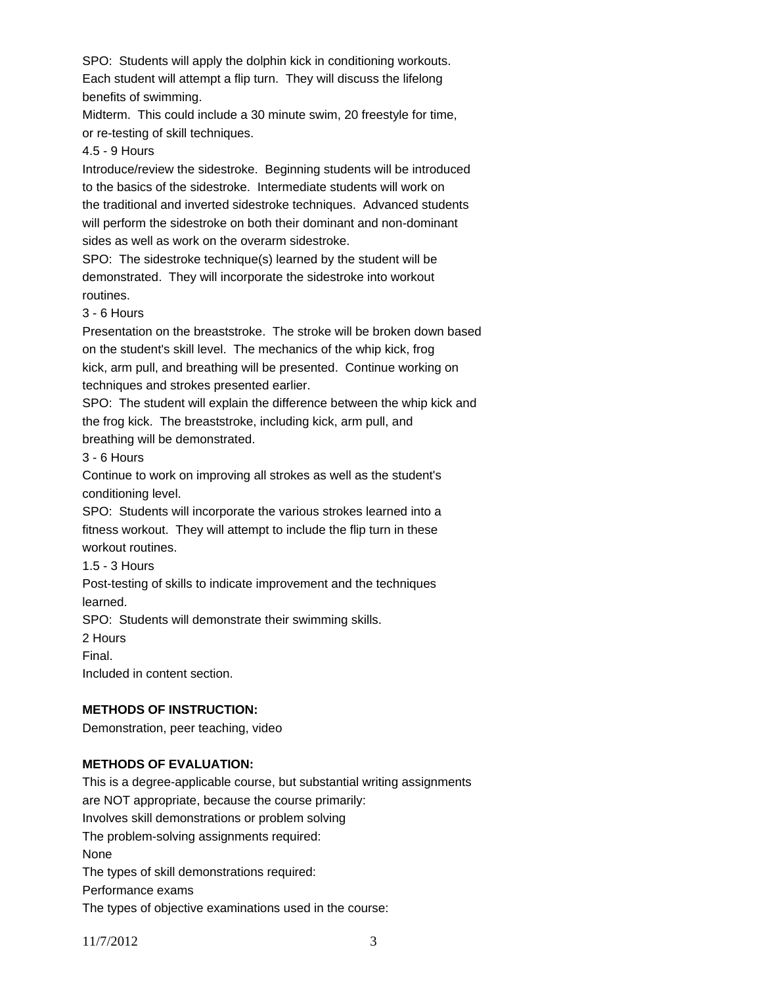SPO: Students will apply the dolphin kick in conditioning workouts. Each student will attempt a flip turn. They will discuss the lifelong benefits of swimming.

Midterm. This could include a 30 minute swim, 20 freestyle for time, or re-testing of skill techniques.

#### 4.5 - 9 Hours

Introduce/review the sidestroke. Beginning students will be introduced to the basics of the sidestroke. Intermediate students will work on the traditional and inverted sidestroke techniques. Advanced students will perform the sidestroke on both their dominant and non-dominant sides as well as work on the overarm sidestroke.

SPO: The sidestroke technique(s) learned by the student will be demonstrated. They will incorporate the sidestroke into workout routines.

3 - 6 Hours

Presentation on the breaststroke. The stroke will be broken down based on the student's skill level. The mechanics of the whip kick, frog kick, arm pull, and breathing will be presented. Continue working on techniques and strokes presented earlier.

SPO: The student will explain the difference between the whip kick and the frog kick. The breaststroke, including kick, arm pull, and breathing will be demonstrated.

3 - 6 Hours

Continue to work on improving all strokes as well as the student's conditioning level.

SPO: Students will incorporate the various strokes learned into a fitness workout. They will attempt to include the flip turn in these workout routines.

1.5 - 3 Hours

Post-testing of skills to indicate improvement and the techniques learned.

SPO: Students will demonstrate their swimming skills.

2 Hours

Final.

Included in content section.

## **METHODS OF INSTRUCTION:**

Demonstration, peer teaching, video

## **METHODS OF EVALUATION:**

This is a degree-applicable course, but substantial writing assignments are NOT appropriate, because the course primarily: Involves skill demonstrations or problem solving The problem-solving assignments required: None The types of skill demonstrations required: Performance exams The types of objective examinations used in the course: